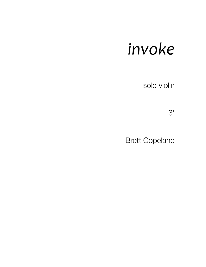## *invoke*

solo violin

 $3'$ 

Brett Copeland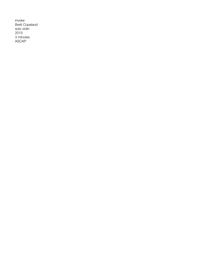invoke Brett Copeland solo violin 2015 3 minutes ASCAP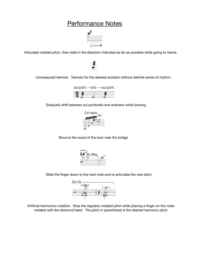## Performance Notes



Articulate notated pitch, then slide in the direction indicated as far as possible while going to niente.

Unmeasured tremolo. Tremolo for the desired duration without definite sense of rhythm.



Gradually shift between sul ponitcello and ordinario while bowing.



Bounce the wood of the bow near the bridge.



Slide the finger down to the next note and re-articulate the new pitch.



Artificial harmonics notation. Stop the regularly notated pitch while placing a finger on the node notated with the diamond head. The pitch in parenthesis is the desired harmonic pitch.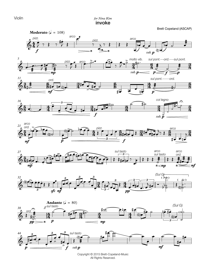Violin

*for Nina Kim* invoke

Brett Copeland (ASCAP)



















Copyright © 2015 Brett-Copeland-Music All Rights Reserved.